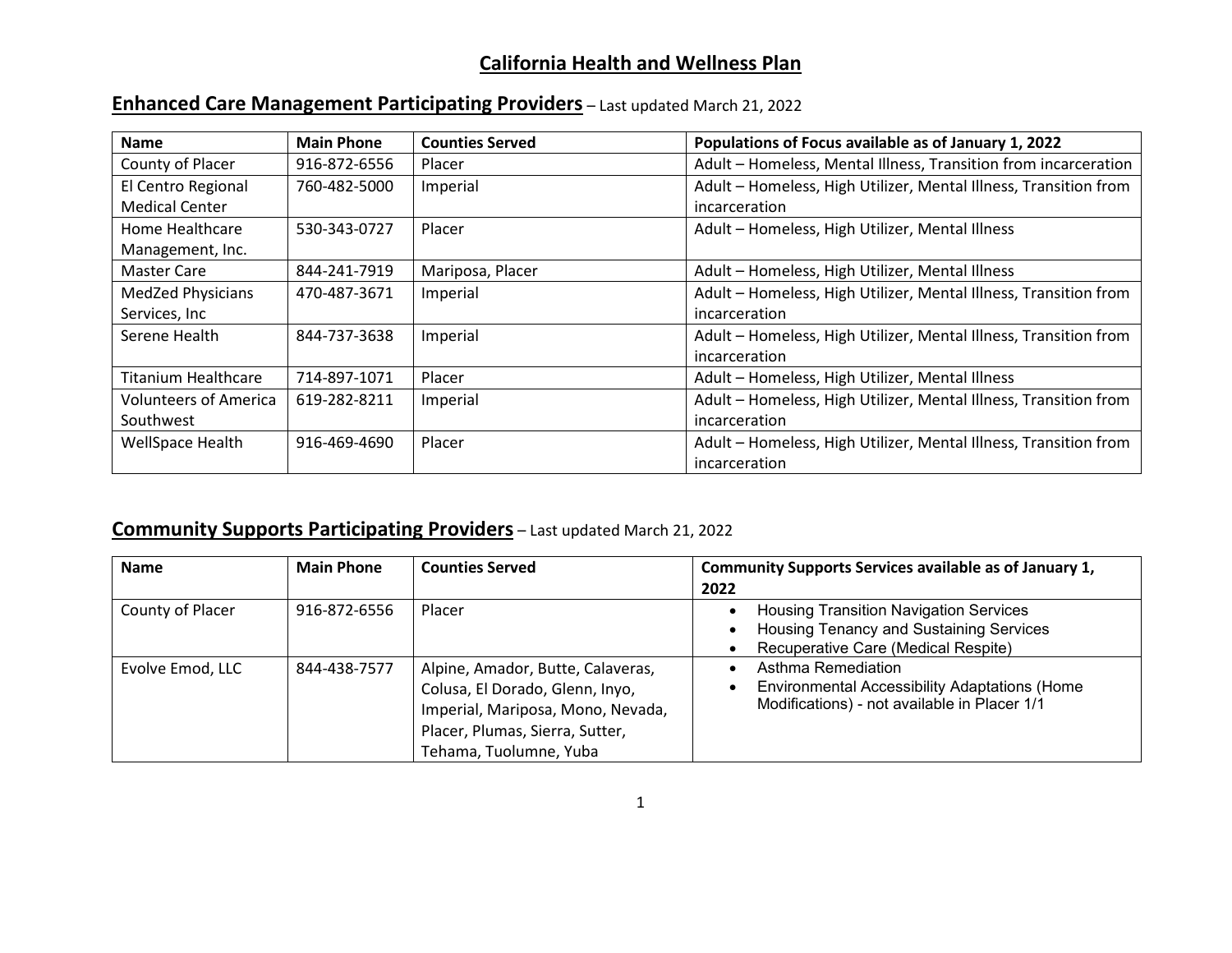## **California Health and Wellness Plan**

| Enhanced Care Management Participating Providers - Last updated March 21, 2022 |
|--------------------------------------------------------------------------------|
|--------------------------------------------------------------------------------|

| <b>Name</b>                  | <b>Main Phone</b> | <b>Counties Served</b> | Populations of Focus available as of January 1, 2022             |
|------------------------------|-------------------|------------------------|------------------------------------------------------------------|
| County of Placer             | 916-872-6556      | Placer                 | Adult - Homeless, Mental Illness, Transition from incarceration  |
| El Centro Regional           | 760-482-5000      | Imperial               | Adult - Homeless, High Utilizer, Mental Illness, Transition from |
| <b>Medical Center</b>        |                   |                        | incarceration                                                    |
| Home Healthcare              | 530-343-0727      | Placer                 | Adult - Homeless, High Utilizer, Mental Illness                  |
| Management, Inc.             |                   |                        |                                                                  |
| Master Care                  | 844-241-7919      | Mariposa, Placer       | Adult - Homeless, High Utilizer, Mental Illness                  |
| <b>MedZed Physicians</b>     | 470-487-3671      | Imperial               | Adult - Homeless, High Utilizer, Mental Illness, Transition from |
| Services, Inc                |                   |                        | incarceration                                                    |
| Serene Health                | 844-737-3638      | Imperial               | Adult - Homeless, High Utilizer, Mental Illness, Transition from |
|                              |                   |                        | incarceration                                                    |
| <b>Titanium Healthcare</b>   | 714-897-1071      | Placer                 | Adult - Homeless, High Utilizer, Mental Illness                  |
| <b>Volunteers of America</b> | 619-282-8211      | Imperial               | Adult - Homeless, High Utilizer, Mental Illness, Transition from |
| Southwest                    |                   |                        | incarceration                                                    |
| WellSpace Health             | 916-469-4690      | Placer                 | Adult - Homeless, High Utilizer, Mental Illness, Transition from |
|                              |                   |                        | incarceration                                                    |

## **Community Supports Participating Providers** – Last updated March 21, 2022

| <b>Name</b>      | <b>Main Phone</b> | <b>Counties Served</b>                                                                                                                                                 | Community Supports Services available as of January 1,                                                                          |
|------------------|-------------------|------------------------------------------------------------------------------------------------------------------------------------------------------------------------|---------------------------------------------------------------------------------------------------------------------------------|
|                  |                   |                                                                                                                                                                        | 2022                                                                                                                            |
| County of Placer | 916-872-6556      | Placer                                                                                                                                                                 | <b>Housing Transition Navigation Services</b><br>Housing Tenancy and Sustaining Services<br>Recuperative Care (Medical Respite) |
| Evolve Emod, LLC | 844-438-7577      | Alpine, Amador, Butte, Calaveras,<br>Colusa, El Dorado, Glenn, Inyo,<br>Imperial, Mariposa, Mono, Nevada,<br>Placer, Plumas, Sierra, Sutter,<br>Tehama, Tuolumne, Yuba | Asthma Remediation<br><b>Environmental Accessibility Adaptations (Home</b><br>Modifications) - not available in Placer 1/1      |